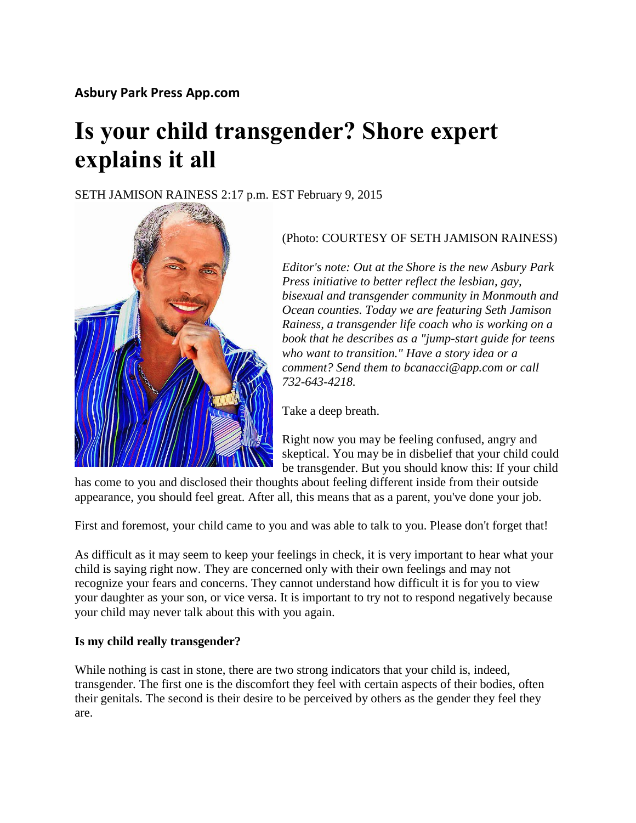# **Is your child transgender? Shore expert explains it all**

SETH JAMISON RAINESS 2:17 p.m. EST February 9, 2015



# (Photo: COURTESY OF SETH JAMISON RAINESS)

*Editor's note: Out at the Shore is the new Asbury Park Press initiative to better reflect the lesbian, gay, bisexual and transgender community in Monmouth and Ocean counties. Today we are featuring Seth Jamison Rainess, a transgender life coach who is working on a book that he describes as a "jump-start guide for teens who want to transition." Have a story idea or a comment? Send them to bcanacci@app.com or call 732-643-4218.*

Take a deep breath.

Right now you may be feeling confused, angry and skeptical. You may be in disbelief that your child could be transgender. But you should know this: If your child

has come to you and disclosed their thoughts about feeling different inside from their outside appearance, you should feel great. After all, this means that as a parent, you've done your job.

First and foremost, your child came to you and was able to talk to you. Please don't forget that!

As difficult as it may seem to keep your feelings in check, it is very important to hear what your child is saying right now. They are concerned only with their own feelings and may not recognize your fears and concerns. They cannot understand how difficult it is for you to view your daughter as your son, or vice versa. It is important to try not to respond negatively because your child may never talk about this with you again.

# **Is my child really transgender?**

While nothing is cast in stone, there are two strong indicators that your child is, indeed, transgender. The first one is the discomfort they feel with certain aspects of their bodies, often their genitals. The second is their desire to be perceived by others as the gender they feel they are.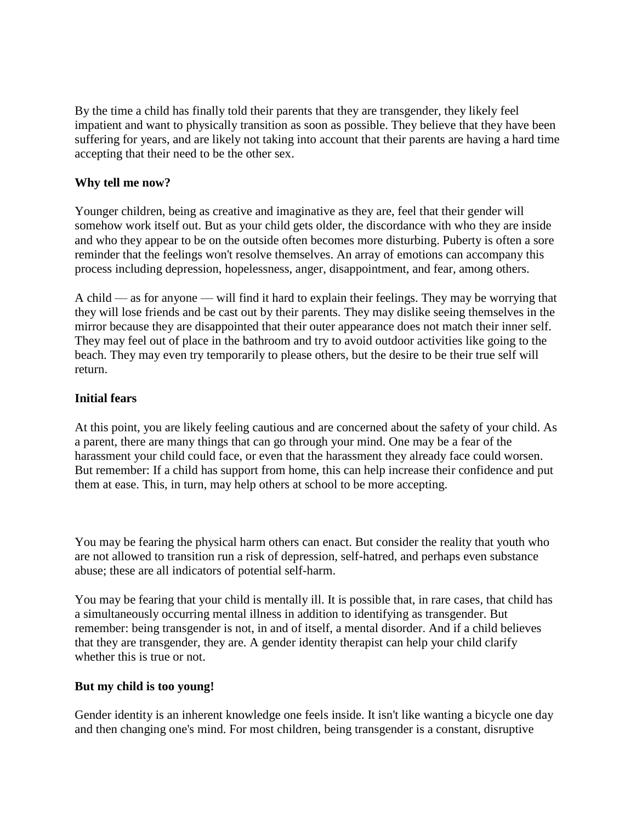By the time a child has finally told their parents that they are transgender, they likely feel impatient and want to physically transition as soon as possible. They believe that they have been suffering for years, and are likely not taking into account that their parents are having a hard time accepting that their need to be the other sex.

## **Why tell me now?**

Younger children, being as creative and imaginative as they are, feel that their gender will somehow work itself out. But as your child gets older, the discordance with who they are inside and who they appear to be on the outside often becomes more disturbing. Puberty is often a sore reminder that the feelings won't resolve themselves. An array of emotions can accompany this process including depression, hopelessness, anger, disappointment, and fear, among others.

A child — as for anyone — will find it hard to explain their feelings. They may be worrying that they will lose friends and be cast out by their parents. They may dislike seeing themselves in the mirror because they are disappointed that their outer appearance does not match their inner self. They may feel out of place in the bathroom and try to avoid outdoor activities like going to the beach. They may even try temporarily to please others, but the desire to be their true self will return.

#### **Initial fears**

At this point, you are likely feeling cautious and are concerned about the safety of your child. As a parent, there are many things that can go through your mind. One may be a fear of the harassment your child could face, or even that the harassment they already face could worsen. But remember: If a child has support from home, this can help increase their confidence and put them at ease. This, in turn, may help others at school to be more accepting.

You may be fearing the physical harm others can enact. But consider the reality that youth who are not allowed to transition run a risk of depression, self-hatred, and perhaps even substance abuse; these are all indicators of potential self-harm.

You may be fearing that your child is mentally ill. It is possible that, in rare cases, that child has a simultaneously occurring mental illness in addition to identifying as transgender. But remember: being transgender is not, in and of itself, a mental disorder. And if a child believes that they are transgender, they are. A gender identity therapist can help your child clarify whether this is true or not.

#### **But my child is too young!**

Gender identity is an inherent knowledge one feels inside. It isn't like wanting a bicycle one day and then changing one's mind. For most children, being transgender is a constant, disruptive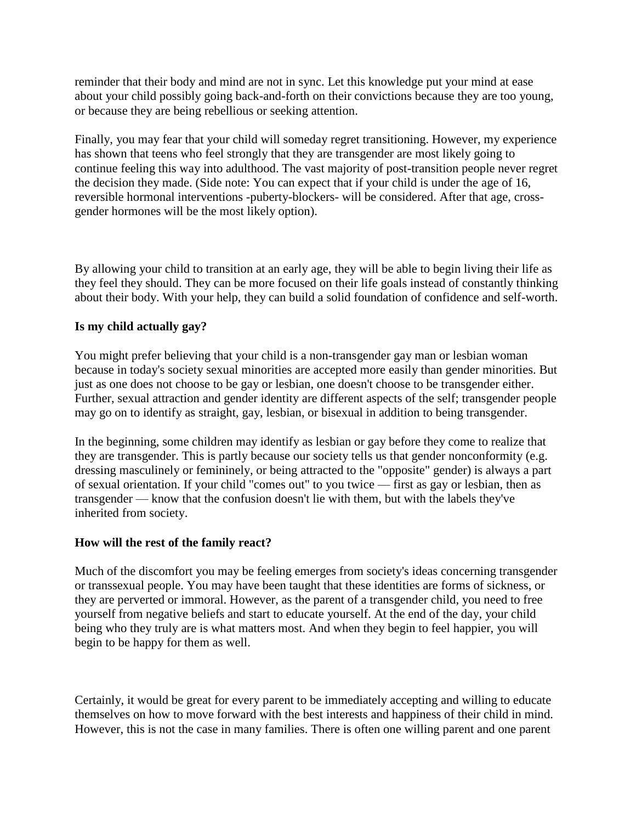reminder that their body and mind are not in sync. Let this knowledge put your mind at ease about your child possibly going back-and-forth on their convictions because they are too young, or because they are being rebellious or seeking attention.

Finally, you may fear that your child will someday regret transitioning. However, my experience has shown that teens who feel strongly that they are transgender are most likely going to continue feeling this way into adulthood. The vast majority of post-transition people never regret the decision they made. (Side note: You can expect that if your child is under the age of 16, reversible hormonal interventions -puberty-blockers- will be considered. After that age, crossgender hormones will be the most likely option).

By allowing your child to transition at an early age, they will be able to begin living their life as they feel they should. They can be more focused on their life goals instead of constantly thinking about their body. With your help, they can build a solid foundation of confidence and self-worth.

# **Is my child actually gay?**

You might prefer believing that your child is a non-transgender gay man or lesbian woman because in today's society sexual minorities are accepted more easily than gender minorities. But just as one does not choose to be gay or lesbian, one doesn't choose to be transgender either. Further, sexual attraction and gender identity are different aspects of the self; transgender people may go on to identify as straight, gay, lesbian, or bisexual in addition to being transgender.

In the beginning, some children may identify as lesbian or gay before they come to realize that they are transgender. This is partly because our society tells us that gender nonconformity (e.g. dressing masculinely or femininely, or being attracted to the "opposite" gender) is always a part of sexual orientation. If your child "comes out" to you twice — first as gay or lesbian, then as transgender — know that the confusion doesn't lie with them, but with the labels they've inherited from society.

#### **How will the rest of the family react?**

Much of the discomfort you may be feeling emerges from society's ideas concerning transgender or transsexual people. You may have been taught that these identities are forms of sickness, or they are perverted or immoral. However, as the parent of a transgender child, you need to free yourself from negative beliefs and start to educate yourself. At the end of the day, your child being who they truly are is what matters most. And when they begin to feel happier, you will begin to be happy for them as well.

Certainly, it would be great for every parent to be immediately accepting and willing to educate themselves on how to move forward with the best interests and happiness of their child in mind. However, this is not the case in many families. There is often one willing parent and one parent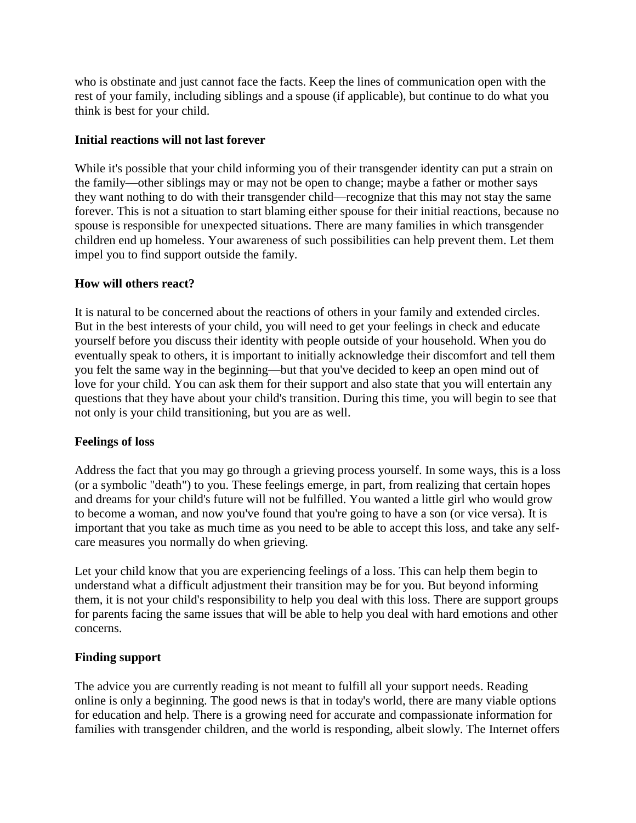who is obstinate and just cannot face the facts. Keep the lines of communication open with the rest of your family, including siblings and a spouse (if applicable), but continue to do what you think is best for your child.

## **Initial reactions will not last forever**

While it's possible that your child informing you of their transgender identity can put a strain on the family—other siblings may or may not be open to change; maybe a father or mother says they want nothing to do with their transgender child—recognize that this may not stay the same forever. This is not a situation to start blaming either spouse for their initial reactions, because no spouse is responsible for unexpected situations. There are many families in which transgender children end up homeless. Your awareness of such possibilities can help prevent them. Let them impel you to find support outside the family.

## **How will others react?**

It is natural to be concerned about the reactions of others in your family and extended circles. But in the best interests of your child, you will need to get your feelings in check and educate yourself before you discuss their identity with people outside of your household. When you do eventually speak to others, it is important to initially acknowledge their discomfort and tell them you felt the same way in the beginning—but that you've decided to keep an open mind out of love for your child. You can ask them for their support and also state that you will entertain any questions that they have about your child's transition. During this time, you will begin to see that not only is your child transitioning, but you are as well.

# **Feelings of loss**

Address the fact that you may go through a grieving process yourself. In some ways, this is a loss (or a symbolic "death") to you. These feelings emerge, in part, from realizing that certain hopes and dreams for your child's future will not be fulfilled. You wanted a little girl who would grow to become a woman, and now you've found that you're going to have a son (or vice versa). It is important that you take as much time as you need to be able to accept this loss, and take any selfcare measures you normally do when grieving.

Let your child know that you are experiencing feelings of a loss. This can help them begin to understand what a difficult adjustment their transition may be for you. But beyond informing them, it is not your child's responsibility to help you deal with this loss. There are support groups for parents facing the same issues that will be able to help you deal with hard emotions and other concerns.

# **Finding support**

The advice you are currently reading is not meant to fulfill all your support needs. Reading online is only a beginning. The good news is that in today's world, there are many viable options for education and help. There is a growing need for accurate and compassionate information for families with transgender children, and the world is responding, albeit slowly. The Internet offers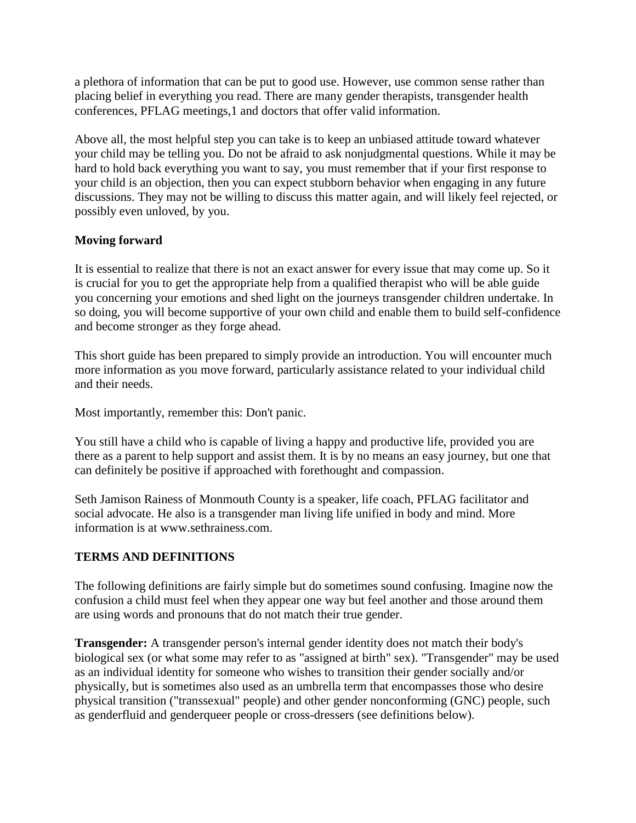a plethora of information that can be put to good use. However, use common sense rather than placing belief in everything you read. There are many gender therapists, transgender health conferences, PFLAG meetings,1 and doctors that offer valid information.

Above all, the most helpful step you can take is to keep an unbiased attitude toward whatever your child may be telling you. Do not be afraid to ask nonjudgmental questions. While it may be hard to hold back everything you want to say, you must remember that if your first response to your child is an objection, then you can expect stubborn behavior when engaging in any future discussions. They may not be willing to discuss this matter again, and will likely feel rejected, or possibly even unloved, by you.

# **Moving forward**

It is essential to realize that there is not an exact answer for every issue that may come up. So it is crucial for you to get the appropriate help from a qualified therapist who will be able guide you concerning your emotions and shed light on the journeys transgender children undertake. In so doing, you will become supportive of your own child and enable them to build self-confidence and become stronger as they forge ahead.

This short guide has been prepared to simply provide an introduction. You will encounter much more information as you move forward, particularly assistance related to your individual child and their needs.

Most importantly, remember this: Don't panic.

You still have a child who is capable of living a happy and productive life, provided you are there as a parent to help support and assist them. It is by no means an easy journey, but one that can definitely be positive if approached with forethought and compassion.

Seth Jamison Rainess of Monmouth County is a speaker, life coach, PFLAG facilitator and social advocate. He also is a transgender man living life unified in body and mind. More information is at www.sethrainess.com[.](http://www.app.com/story/opinion/editorials/2015/02/05/editorial-gay-rights-human-rights-differ/22918105/)

# **TERMS AND DEFINITIONS**

The following definitions are fairly simple but do sometimes sound confusing. Imagine now the confusion a child must feel when they appear one way but feel another and those around them are using words and pronouns that do not match their true gender.

**Transgender:** A transgender person's internal gender identity does not match their body's biological sex (or what some may refer to as "assigned at birth" sex). "Transgender" may be used as an individual identity for someone who wishes to transition their gender socially and/or physically, but is sometimes also used as an umbrella term that encompasses those who desire physical transition ("transsexual" people) and other gender nonconforming (GNC) people, such as genderfluid and genderqueer people or cross-dressers (see definitions below).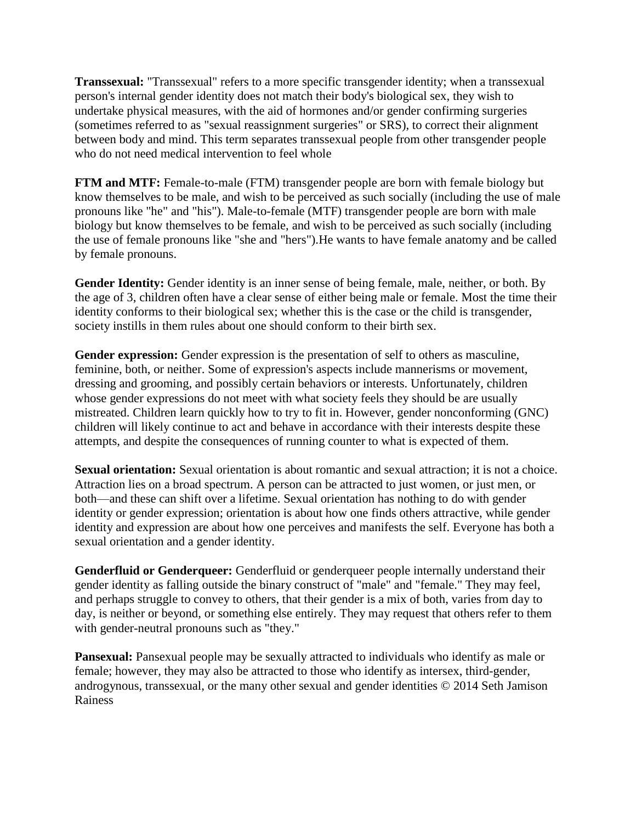**Transsexual:** "Transsexual" refers to a more specific transgender identity; when a transsexual person's internal gender identity does not match their body's biological sex, they wish to undertake physical measures, with the aid of hormones and/or gender confirming surgeries (sometimes referred to as "sexual reassignment surgeries" or SRS), to correct their alignment between body and mind. This term separates transsexual people from other transgender people who do not need medical intervention to feel whole

**FTM and MTF:** Female-to-male (FTM) transgender people are born with female biology but know themselves to be male, and wish to be perceived as such socially (including the use of male pronouns like "he" and "his"). Male-to-female (MTF) transgender people are born with male biology but know themselves to be female, and wish to be perceived as such socially (including the use of female pronouns like "she and "hers").He wants to have female anatomy and be called by female pronouns.

**Gender Identity:** Gender identity is an inner sense of being female, male, neither, or both. By the age of 3, children often have a clear sense of either being male or female. Most the time their identity conforms to their biological sex; whether this is the case or the child is transgender, society instills in them rules about one should conform to their birth sex.

Gender expression: Gender expression is the presentation of self to others as masculine, feminine, both, or neither. Some of expression's aspects include mannerisms or movement, dressing and grooming, and possibly certain behaviors or interests. Unfortunately, children whose gender expressions do not meet with what society feels they should be are usually mistreated. Children learn quickly how to try to fit in. However, gender nonconforming (GNC) children will likely continue to act and behave in accordance with their interests despite these attempts, and despite the consequences of running counter to what is expected of them.

**Sexual orientation:** Sexual orientation is about romantic and sexual attraction; it is not a choice. Attraction lies on a broad spectrum. A person can be attracted to just women, or just men, or both—and these can shift over a lifetime. Sexual orientation has nothing to do with gender identity or gender expression; orientation is about how one finds others attractive, while gender identity and expression are about how one perceives and manifests the self. Everyone has both a sexual orientation and a gender identity.

**Genderfluid or Genderqueer:** Genderfluid or genderqueer people internally understand their gender identity as falling outside the binary construct of "male" and "female." They may feel, and perhaps struggle to convey to others, that their gender is a mix of both, varies from day to day, is neither or beyond, or something else entirely. They may request that others refer to them with gender-neutral pronouns such as "they."

**Pansexual:** Pansexual people may be sexually attracted to individuals who identify as male or female; however, they may also be attracted to those who identify as intersex, third-gender, androgynous, transsexual, or the many other sexual and gender identities © 2014 Seth Jamison Rainess